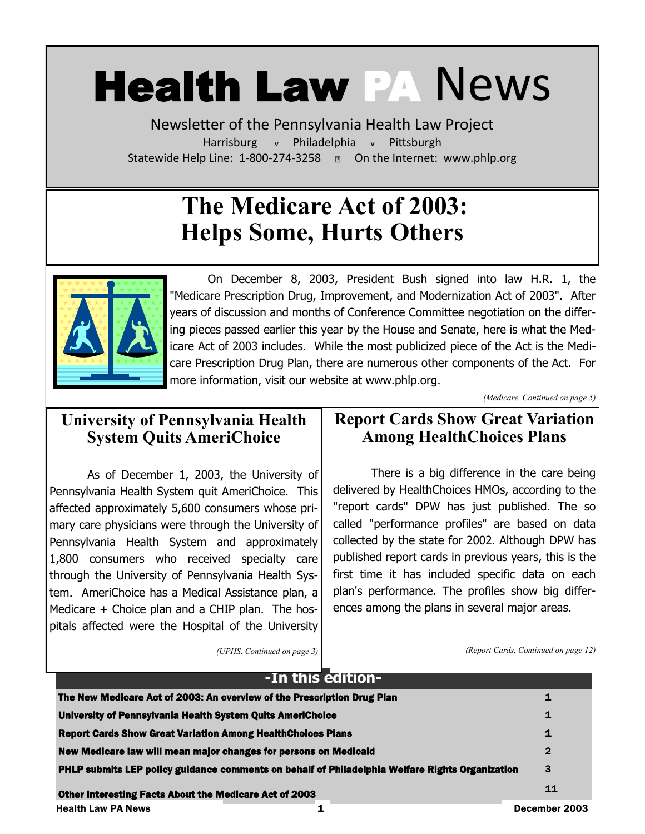# Health Law PA News

Newsletter of the Pennsylvania Health Law Project Harrisburg v Philadelphia v Pittsburgh Statewide Help Line: 1-800-274-3258 a On the Internet: www.phlp.org

# **The Medicare Act of 2003: Helps Some, Hurts Others**



On December 8, 2003, President Bush signed into law H.R. 1, the "Medicare Prescription Drug, Improvement, and Modernization Act of 2003". After years of discussion and months of Conference Committee negotiation on the differing pieces passed earlier this year by the House and Senate, here is what the Medicare Act of 2003 includes. While the most publicized piece of the Act is the Medicare Prescription Drug Plan, there are numerous other components of the Act. For more information, visit our website at www.phlp.org.

*(Medicare, Continued on page 5)*

## **University of Pennsylvania Health System Quits AmeriChoice**

As of December 1, 2003, the University of Pennsylvania Health System quit AmeriChoice. This affected approximately 5,600 consumers whose primary care physicians were through the University of Pennsylvania Health System and approximately 1,800 consumers who received specialty care through the University of Pennsylvania Health System. AmeriChoice has a Medical Assistance plan, a Medicare + Choice plan and a CHIP plan. The hospitals affected were the Hospital of the University

## **Report Cards Show Great Variation Among HealthChoices Plans**

There is a big difference in the care being delivered by HealthChoices HMOs, according to the "report cards" DPW has just published. The so called "performance profiles" are based on data collected by the state for 2002. Although DPW has published report cards in previous years, this is the first time it has included specific data on each plan's performance. The profiles show big differences among the plans in several major areas.

*(UPHS, Continued on page 3)*

*(Report Cards, Continued on page 12)*

| -In this edition-                                                                                      |              |
|--------------------------------------------------------------------------------------------------------|--------------|
| The New Medicare Act of 2003: An overview of the Prescription Drug Plan                                | 1            |
| University of Pennsylvania Health System Quits AmeriChoice                                             | 1            |
| <b>Report Cards Show Great Variation Among HealthChoices Plans</b>                                     | 1            |
| New Medicare law will mean major changes for persons on Medicald                                       | $\mathbf{2}$ |
| <b>PHLP submits LEP policy guidance comments on behalf of Philadelphia Welfare Rights Organization</b> | 3            |
| <b>Other Interesting Facts About the Medicare Act of 2003</b>                                          | 11           |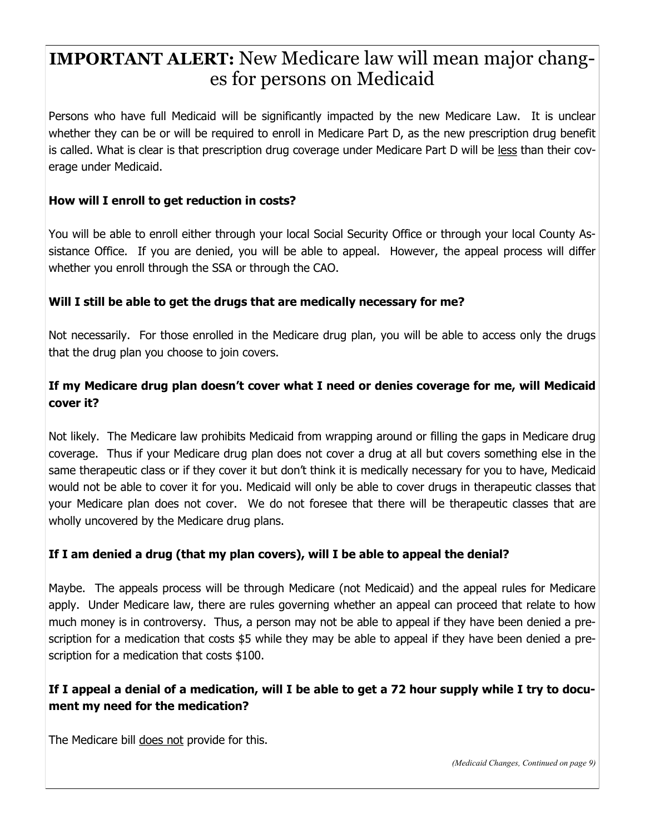# **IMPORTANT ALERT:** New Medicare law will mean major changes for persons on Medicaid

Persons who have full Medicaid will be significantly impacted by the new Medicare Law. It is unclear whether they can be or will be required to enroll in Medicare Part D, as the new prescription drug benefit is called. What is clear is that prescription drug coverage under Medicare Part D will be less than their coverage under Medicaid.

#### **How will I enroll to get reduction in costs?**

You will be able to enroll either through your local Social Security Office or through your local County Assistance Office. If you are denied, you will be able to appeal. However, the appeal process will differ whether you enroll through the SSA or through the CAO.

#### **Will I still be able to get the drugs that are medically necessary for me?**

Not necessarily. For those enrolled in the Medicare drug plan, you will be able to access only the drugs that the drug plan you choose to join covers.

#### **If my Medicare drug plan doesn't cover what I need or denies coverage for me, will Medicaid cover it?**

Not likely. The Medicare law prohibits Medicaid from wrapping around or filling the gaps in Medicare drug coverage. Thus if your Medicare drug plan does not cover a drug at all but covers something else in the same therapeutic class or if they cover it but don't think it is medically necessary for you to have, Medicaid would not be able to cover it for you. Medicaid will only be able to cover drugs in therapeutic classes that your Medicare plan does not cover. We do not foresee that there will be therapeutic classes that are wholly uncovered by the Medicare drug plans.

#### **If I am denied a drug (that my plan covers), will I be able to appeal the denial?**

Maybe. The appeals process will be through Medicare (not Medicaid) and the appeal rules for Medicare apply. Under Medicare law, there are rules governing whether an appeal can proceed that relate to how much money is in controversy. Thus, a person may not be able to appeal if they have been denied a prescription for a medication that costs \$5 while they may be able to appeal if they have been denied a prescription for a medication that costs \$100.

#### **If I appeal a denial of a medication, will I be able to get a 72 hour supply while I try to document my need for the medication?**

The Medicare bill does not provide for this.

*(Medicaid Changes, Continued on page 9)*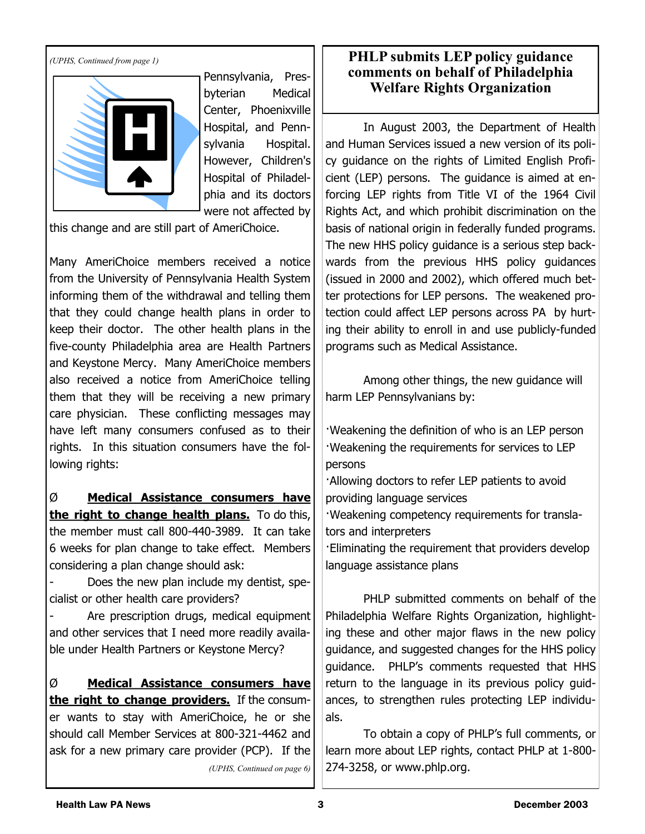*(UPHS, Continued from page 1)*



Pennsylvania, Presbyterian Medical Center, Phoenixville Hospital, and Pennsylvania Hospital. However, Children's Hospital of Philadelphia and its doctors were not affected by

this change and are still part of AmeriChoice.

Many AmeriChoice members received a notice from the University of Pennsylvania Health System informing them of the withdrawal and telling them that they could change health plans in order to keep their doctor. The other health plans in the five-county Philadelphia area are Health Partners and Keystone Mercy. Many AmeriChoice members also received a notice from AmeriChoice telling them that they will be receiving a new primary care physician. These conflicting messages may have left many consumers confused as to their rights. In this situation consumers have the following rights:

Ø **Medical Assistance consumers have the right to change health plans.** To do this, the member must call 800-440-3989. It can take 6 weeks for plan change to take effect. Members considering a plan change should ask:

Does the new plan include my dentist, specialist or other health care providers?

Are prescription drugs, medical equipment and other services that I need more readily available under Health Partners or Keystone Mercy?

Ø **Medical Assistance consumers have the right to change providers.** If the consumer wants to stay with AmeriChoice, he or she should call Member Services at 800-321-4462 and ask for a new primary care provider (PCP). If the *(UPHS, Continued on page 6)*

#### **PHLP submits LEP policy guidance comments on behalf of Philadelphia Welfare Rights Organization**

In August 2003, the Department of Health and Human Services issued a new version of its policy guidance on the rights of Limited English Proficient (LEP) persons. The guidance is aimed at enforcing LEP rights from Title VI of the 1964 Civil Rights Act, and which prohibit discrimination on the basis of national origin in federally funded programs. The new HHS policy guidance is a serious step backwards from the previous HHS policy guidances (issued in 2000 and 2002), which offered much better protections for LEP persons. The weakened protection could affect LEP persons across PA by hurting their ability to enroll in and use publicly-funded programs such as Medical Assistance.

Among other things, the new guidance will harm LEP Pennsylvanians by:

·Weakening the definition of who is an LEP person ·Weakening the requirements for services to LEP persons

·Allowing doctors to refer LEP patients to avoid providing language services

·Weakening competency requirements for translators and interpreters

·Eliminating the requirement that providers develop language assistance plans

PHLP submitted comments on behalf of the Philadelphia Welfare Rights Organization, highlighting these and other major flaws in the new policy guidance, and suggested changes for the HHS policy guidance. PHLP's comments requested that HHS return to the language in its previous policy guidances, to strengthen rules protecting LEP individuals.

To obtain a copy of PHLP's full comments, or learn more about LEP rights, contact PHLP at 1-800- 274-3258, or www.phlp.org.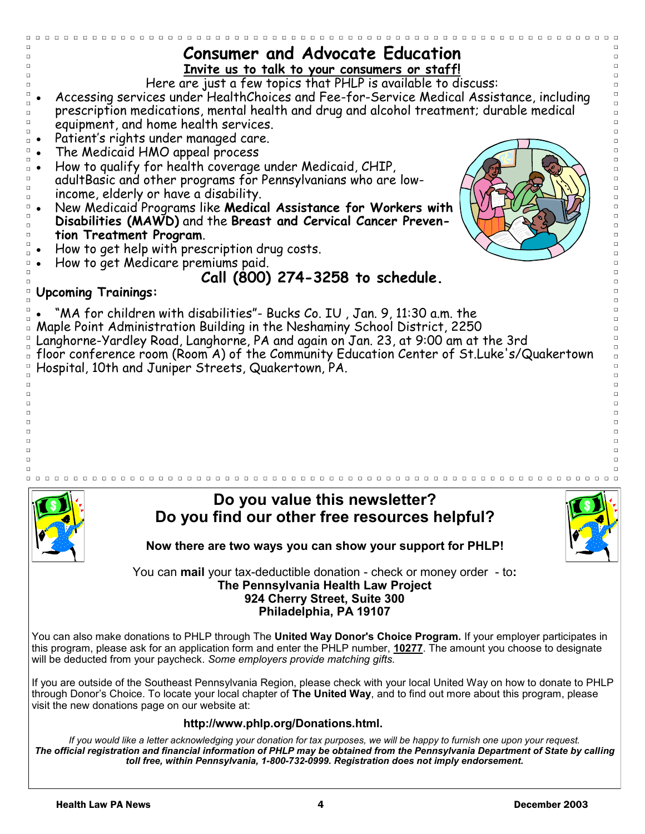| <b>Consumer and Advocate Education</b>                                                                                                                                                                                                       |
|----------------------------------------------------------------------------------------------------------------------------------------------------------------------------------------------------------------------------------------------|
| Invite us to talk to your consumers or staff!                                                                                                                                                                                                |
| Here are just a few topics that PHLP is available to discuss:                                                                                                                                                                                |
| Accessing services under HealthChoices and Fee-for-Service Medical Assistance, including                                                                                                                                                     |
| prescription medications, mental health and drug and alcohol treatment; durable medical                                                                                                                                                      |
| equipment, and home health services.                                                                                                                                                                                                         |
| Patient's rights under managed care.                                                                                                                                                                                                         |
| The Medicaid HMO appeal process                                                                                                                                                                                                              |
| How to qualify for health coverage under Medicaid, CHIP,                                                                                                                                                                                     |
| adultBasic and other programs for Pennsylvanians who are low-                                                                                                                                                                                |
| income, elderly or have a disability.                                                                                                                                                                                                        |
| New Medicaid Programs like Medical Assistance for Workers with                                                                                                                                                                               |
| Disabilities (MAWD) and the Breast and Cervical Cancer Preven-                                                                                                                                                                               |
| tion Treatment Program.                                                                                                                                                                                                                      |
| How to get help with prescription drug costs.                                                                                                                                                                                                |
| How to get Medicare premiums paid.                                                                                                                                                                                                           |
| Call (800) 274-3258 to schedule.                                                                                                                                                                                                             |
| <b>Upcoming Trainings:</b>                                                                                                                                                                                                                   |
|                                                                                                                                                                                                                                              |
| "MA for children with disabilities"- Bucks Co. IU, Jan. 9, 11:30 a.m. the                                                                                                                                                                    |
| Maple Point Administration Building in the Neshaminy School District, 2250                                                                                                                                                                   |
| Langhorne-Yardley Road, Langhorne, PA and again on Jan. 23, at 9:00 am at the 3rd                                                                                                                                                            |
| floor conference room (Room A) of the Community Education Center of St.Luke's/Quakertown                                                                                                                                                     |
| Hospital, 10th and Juniper Streets, Quakertown, PA.                                                                                                                                                                                          |
|                                                                                                                                                                                                                                              |
|                                                                                                                                                                                                                                              |
|                                                                                                                                                                                                                                              |
|                                                                                                                                                                                                                                              |
|                                                                                                                                                                                                                                              |
|                                                                                                                                                                                                                                              |
|                                                                                                                                                                                                                                              |
|                                                                                                                                                                                                                                              |
| Do you value this newsletter?                                                                                                                                                                                                                |
| Do you find our other free resources helpful?                                                                                                                                                                                                |
|                                                                                                                                                                                                                                              |
| Now there are two ways you can show your support for PHLP!                                                                                                                                                                                   |
|                                                                                                                                                                                                                                              |
| You can mail your tax-deductible donation - check or money order - to:                                                                                                                                                                       |
| The Pennsylvania Health Law Project                                                                                                                                                                                                          |
| 924 Cherry Street, Suite 300                                                                                                                                                                                                                 |
| Philadelphia, PA 19107                                                                                                                                                                                                                       |
|                                                                                                                                                                                                                                              |
| You can also make donations to PHLP through The United Way Donor's Choice Program. If your employer participates in<br>this program, please ask for an application form and enter the PHLP number, 10277. The amount you choose to designate |
| will be deducted from your paycheck. Some employers provide matching gifts.                                                                                                                                                                  |
|                                                                                                                                                                                                                                              |
| If you are outside of the Southeast Pennsylvania Region, please check with your local United Way on how to donate to PHLP                                                                                                                    |
| through Donor's Choice. To locate your local chapter of The United Way, and to find out more about this program, please                                                                                                                      |
| visit the new donations page on our website at:                                                                                                                                                                                              |
| http://www.phlp.org/Donations.html.                                                                                                                                                                                                          |
| If you would like a letter acknowledging your donation for tax purposes, we will be happy to furnish one upon your request.                                                                                                                  |
| The official registration and financial information of PHLP may be obtained from the Pennsylvania Department of State by calling                                                                                                             |
| toll free, within Pennsylvania, 1-800-732-0999. Registration does not imply endorsement.                                                                                                                                                     |
|                                                                                                                                                                                                                                              |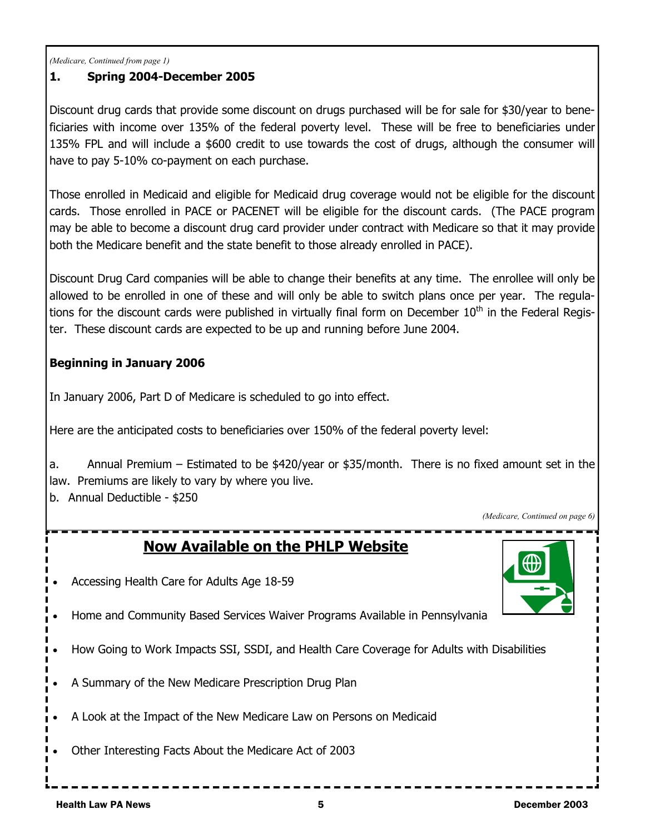*(Medicare, Continued from page 1)*

#### **1. Spring 2004-December 2005**

Discount drug cards that provide some discount on drugs purchased will be for sale for \$30/year to beneficiaries with income over 135% of the federal poverty level. These will be free to beneficiaries under 135% FPL and will include a \$600 credit to use towards the cost of drugs, although the consumer will have to pay 5-10% co-payment on each purchase.

Those enrolled in Medicaid and eligible for Medicaid drug coverage would not be eligible for the discount cards. Those enrolled in PACE or PACENET will be eligible for the discount cards. (The PACE program may be able to become a discount drug card provider under contract with Medicare so that it may provide both the Medicare benefit and the state benefit to those already enrolled in PACE).

Discount Drug Card companies will be able to change their benefits at any time. The enrollee will only be allowed to be enrolled in one of these and will only be able to switch plans once per year. The regulations for the discount cards were published in virtually final form on December  $10<sup>th</sup>$  in the Federal Register. These discount cards are expected to be up and running before June 2004.

#### **Beginning in January 2006**

In January 2006, Part D of Medicare is scheduled to go into effect.

• Accessing Health Care for Adults Age 18-59

• A Summary of the New Medicare Prescription Drug Plan

Here are the anticipated costs to beneficiaries over 150% of the federal poverty level:

**Now Available on the PHLP Website**

• Home and Community Based Services Waiver Programs Available in Pennsylvania

• A Look at the Impact of the New Medicare Law on Persons on Medicaid

• How Going to Work Impacts SSI, SSDI, and Health Care Coverage for Adults with Disabilities

a. Annual Premium – Estimated to be \$420/year or \$35/month. There is no fixed amount set in the law. Premiums are likely to vary by where you live.

b. Annual Deductible - \$250

*(Medicare, Continued on page 6)*



Health Law PA News 5 December 2003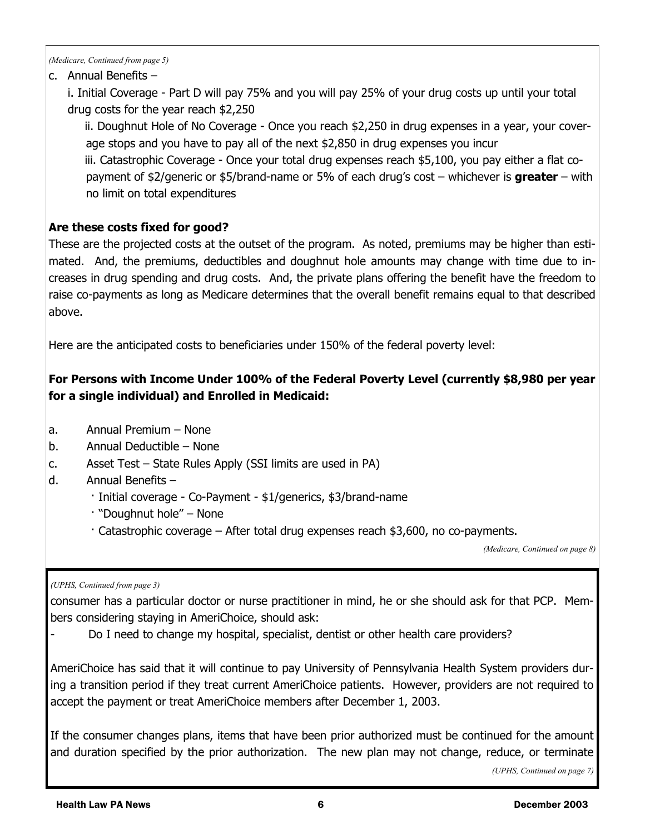*(Medicare, Continued from page 5)*

#### c. Annual Benefits –

i. Initial Coverage - Part D will pay 75% and you will pay 25% of your drug costs up until your total drug costs for the year reach \$2,250

ii. Doughnut Hole of No Coverage - Once you reach \$2,250 in drug expenses in a year, your coverage stops and you have to pay all of the next \$2,850 in drug expenses you incur iii. Catastrophic Coverage - Once your total drug expenses reach \$5,100, you pay either a flat copayment of \$2/generic or \$5/brand-name or 5% of each drug's cost – whichever is **greater** – with no limit on total expenditures

#### **Are these costs fixed for good?**

These are the projected costs at the outset of the program. As noted, premiums may be higher than estimated. And, the premiums, deductibles and doughnut hole amounts may change with time due to increases in drug spending and drug costs. And, the private plans offering the benefit have the freedom to raise co-payments as long as Medicare determines that the overall benefit remains equal to that described above.

Here are the anticipated costs to beneficiaries under 150% of the federal poverty level:

#### **For Persons with Income Under 100% of the Federal Poverty Level (currently \$8,980 per year for a single individual) and Enrolled in Medicaid:**

- a. Annual Premium None
- b. Annual Deductible None
- c. Asset Test State Rules Apply (SSI limits are used in PA)
- d. Annual Benefits
	- · Initial coverage Co-Payment \$1/generics, \$3/brand-name
	- · "Doughnut hole" None
	- · Catastrophic coverage After total drug expenses reach \$3,600, no co-payments.

*(Medicare, Continued on page 8)*

```
(UPHS, Continued from page 3)
```
consumer has a particular doctor or nurse practitioner in mind, he or she should ask for that PCP. Members considering staying in AmeriChoice, should ask:

Do I need to change my hospital, specialist, dentist or other health care providers?

AmeriChoice has said that it will continue to pay University of Pennsylvania Health System providers during a transition period if they treat current AmeriChoice patients. However, providers are not required to accept the payment or treat AmeriChoice members after December 1, 2003.

If the consumer changes plans, items that have been prior authorized must be continued for the amount and duration specified by the prior authorization. The new plan may not change, reduce, or terminate

*(UPHS, Continued on page 7)*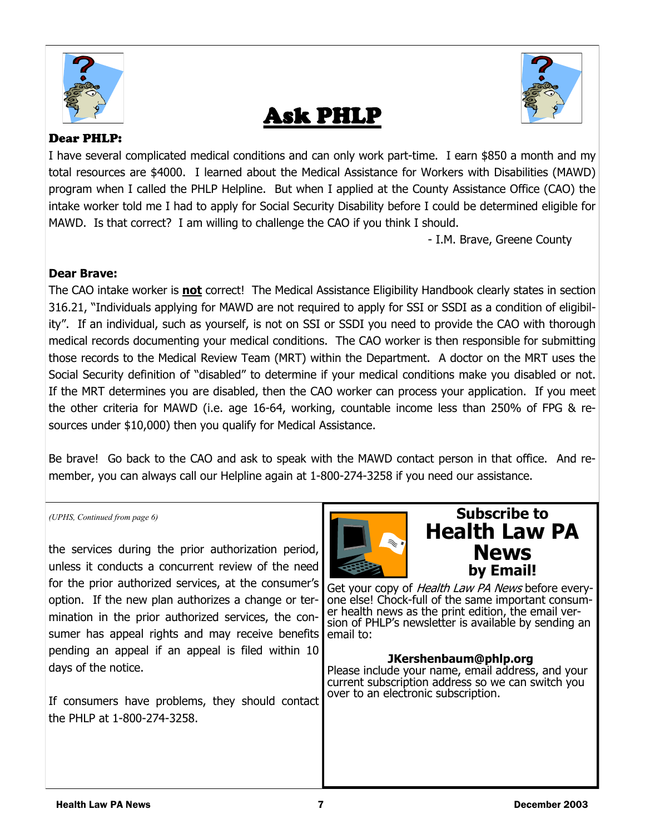





#### Dear PHLP:

I have several complicated medical conditions and can only work part-time. I earn \$850 a month and my total resources are \$4000. I learned about the Medical Assistance for Workers with Disabilities (MAWD) program when I called the PHLP Helpline. But when I applied at the County Assistance Office (CAO) the intake worker told me I had to apply for Social Security Disability before I could be determined eligible for MAWD. Is that correct? I am willing to challenge the CAO if you think I should.

- I.M. Brave, Greene County

#### **Dear Brave:**

The CAO intake worker is **not** correct! The Medical Assistance Eligibility Handbook clearly states in section 316.21, "Individuals applying for MAWD are not required to apply for SSI or SSDI as a condition of eligibility". If an individual, such as yourself, is not on SSI or SSDI you need to provide the CAO with thorough medical records documenting your medical conditions. The CAO worker is then responsible for submitting those records to the Medical Review Team (MRT) within the Department. A doctor on the MRT uses the Social Security definition of "disabled" to determine if your medical conditions make you disabled or not. If the MRT determines you are disabled, then the CAO worker can process your application. If you meet the other criteria for MAWD (i.e. age 16-64, working, countable income less than 250% of FPG & resources under \$10,000) then you qualify for Medical Assistance.

Be brave! Go back to the CAO and ask to speak with the MAWD contact person in that office. And remember, you can always call our Helpline again at 1-800-274-3258 if you need our assistance.

the services during the prior authorization period, unless it conducts a concurrent review of the need for the prior authorized services, at the consumer's option. If the new plan authorizes a change or termination in the prior authorized services, the consumer has appeal rights and may receive benefits pending an appeal if an appeal is filed within 10 days of the notice.

If consumers have problems, they should contact the PHLP at 1-800-274-3258.



## *(UPHS, Continued from page 6)* **Subscribe to Health Law PA News by Email!**

Get your copy of *Health Law PA News* before everyone else! Chock-full of the same important consumer health news as the print edition, the email version of PHLP's newsletter is available by sending an email to:

#### **JKershenbaum@phlp.org**

Please include your name, email address, and your current subscription address so we can switch you over to an electronic subscription.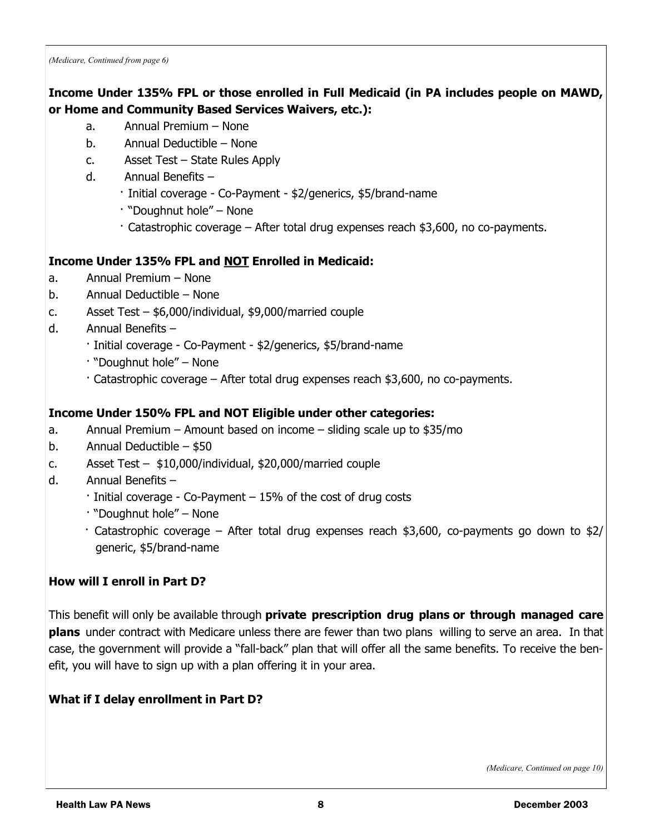*(Medicare, Continued from page 6)*

#### **Income Under 135% FPL or those enrolled in Full Medicaid (in PA includes people on MAWD, or Home and Community Based Services Waivers, etc.):**

- a. Annual Premium None
- b. Annual Deductible None
- c. Asset Test State Rules Apply
- d. Annual Benefits
	- · Initial coverage Co-Payment \$2/generics, \$5/brand-name
	- · "Doughnut hole" None
	- · Catastrophic coverage After total drug expenses reach \$3,600, no co-payments.

#### **Income Under 135% FPL and NOT Enrolled in Medicaid:**

- a. Annual Premium None
- b. Annual Deductible None
- c. Asset Test \$6,000/individual, \$9,000/married couple
- d. Annual Benefits
	- · Initial coverage Co-Payment \$2/generics, \$5/brand-name
	- · "Doughnut hole" None
	- · Catastrophic coverage After total drug expenses reach \$3,600, no co-payments.

#### **Income Under 150% FPL and NOT Eligible under other categories:**

- a. Annual Premium Amount based on income sliding scale up to \$35/mo
- b. Annual Deductible \$50
- c. Asset Test \$10,000/individual, \$20,000/married couple
- d. Annual Benefits
	- · Initial coverage Co-Payment 15% of the cost of drug costs
	- · "Doughnut hole" None
	- · Catastrophic coverage After total drug expenses reach \$3,600, co-payments go down to \$2/ generic, \$5/brand-name

#### **How will I enroll in Part D?**

This benefit will only be available through **private prescription drug plans or through managed care plans** under contract with Medicare unless there are fewer than two plans willing to serve an area. In that case, the government will provide a "fall-back" plan that will offer all the same benefits. To receive the benefit, you will have to sign up with a plan offering it in your area.

#### **What if I delay enrollment in Part D?**

*(Medicare, Continued on page 10)*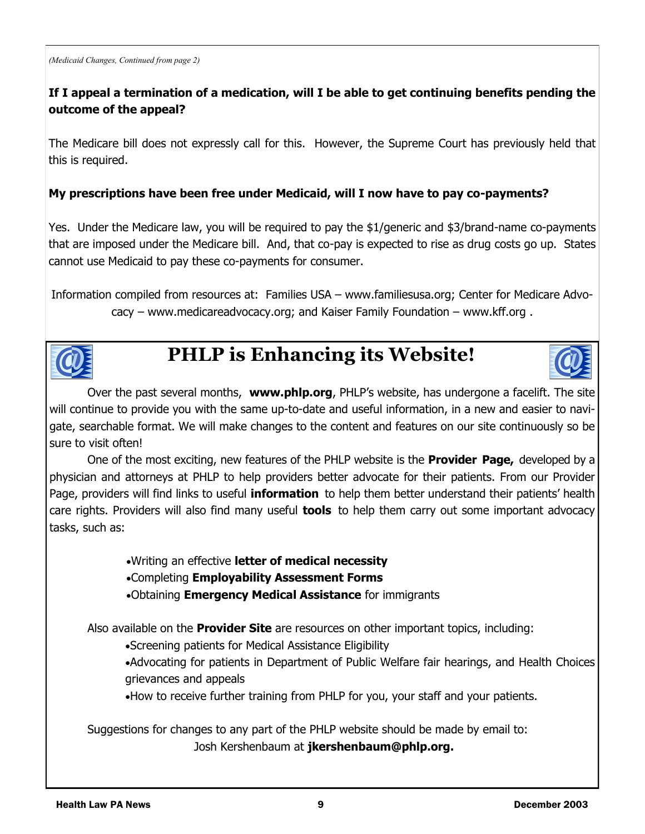#### **If I appeal a termination of a medication, will I be able to get continuing benefits pending the outcome of the appeal?**

The Medicare bill does not expressly call for this. However, the Supreme Court has previously held that this is required.

#### **My prescriptions have been free under Medicaid, will I now have to pay co-payments?**

Yes. Under the Medicare law, you will be required to pay the \$1/generic and \$3/brand-name co-payments that are imposed under the Medicare bill. And, that co-pay is expected to rise as drug costs go up. States cannot use Medicaid to pay these co-payments for consumer.

Information compiled from resources at: Families USA – www.familiesusa.org; Center for Medicare Advocacy – www.medicareadvocacy.org; and Kaiser Family Foundation – www.kff.org .



# **PHLP is Enhancing its Website!**



One of the most exciting, new features of the PHLP website is the **Provider Page,** developed by a physician and attorneys at PHLP to help providers better advocate for their patients. From our Provider Page, providers will find links to useful **information** to help them better understand their patients' health care rights. Providers will also find many useful **tools** to help them carry out some important advocacy tasks, such as:

•Writing an effective **letter of medical necessity**

•Completing **Employability Assessment Forms**

•Obtaining **Emergency Medical Assistance** for immigrants

Also available on the **Provider Site** are resources on other important topics, including:

•Screening patients for Medical Assistance Eligibility

•Advocating for patients in Department of Public Welfare fair hearings, and Health Choices grievances and appeals

•How to receive further training from PHLP for you, your staff and your patients.

Suggestions for changes to any part of the PHLP website should be made by email to: Josh Kershenbaum at **jkershenbaum@phlp.org.**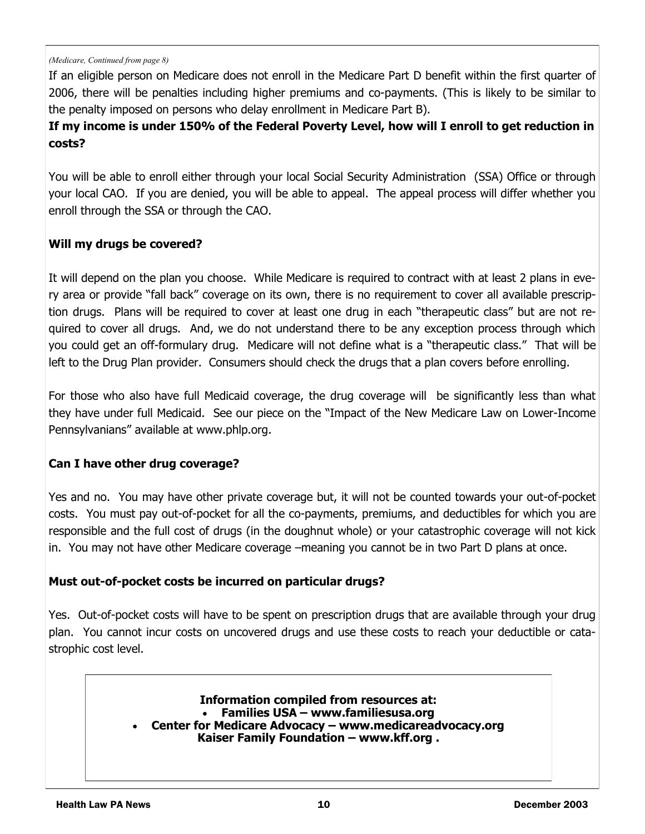#### *(Medicare, Continued from page 8)*

If an eligible person on Medicare does not enroll in the Medicare Part D benefit within the first quarter of 2006, there will be penalties including higher premiums and co-payments. (This is likely to be similar to the penalty imposed on persons who delay enrollment in Medicare Part B).

#### **If my income is under 150% of the Federal Poverty Level, how will I enroll to get reduction in costs?**

You will be able to enroll either through your local Social Security Administration (SSA) Office or through your local CAO. If you are denied, you will be able to appeal. The appeal process will differ whether you enroll through the SSA or through the CAO.

#### **Will my drugs be covered?**

It will depend on the plan you choose. While Medicare is required to contract with at least 2 plans in every area or provide "fall back" coverage on its own, there is no requirement to cover all available prescription drugs. Plans will be required to cover at least one drug in each "therapeutic class" but are not required to cover all drugs. And, we do not understand there to be any exception process through which you could get an off-formulary drug. Medicare will not define what is a "therapeutic class." That will be left to the Drug Plan provider. Consumers should check the drugs that a plan covers before enrolling.

For those who also have full Medicaid coverage, the drug coverage will be significantly less than what they have under full Medicaid. See our piece on the "Impact of the New Medicare Law on Lower-Income Pennsylvanians" available at www.phlp.org.

#### **Can I have other drug coverage?**

Yes and no. You may have other private coverage but, it will not be counted towards your out-of-pocket costs. You must pay out-of-pocket for all the co-payments, premiums, and deductibles for which you are responsible and the full cost of drugs (in the doughnut whole) or your catastrophic coverage will not kick in. You may not have other Medicare coverage –meaning you cannot be in two Part D plans at once.

#### **Must out-of-pocket costs be incurred on particular drugs?**

Yes. Out-of-pocket costs will have to be spent on prescription drugs that are available through your drug plan. You cannot incur costs on uncovered drugs and use these costs to reach your deductible or catastrophic cost level.

#### **Information compiled from resources at:**  • **Families USA – www.familiesusa.org** • **Center for Medicare Advocacy – www.medicareadvocacy.org**

**Kaiser Family Foundation – www.kff.org .**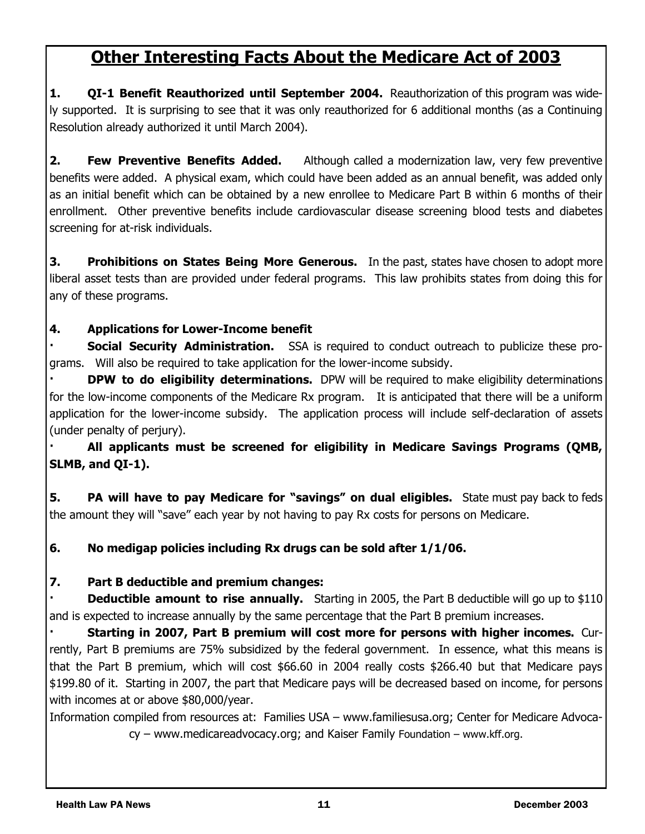# **Other Interesting Facts About the Medicare Act of 2003**

**1. QI-1 Benefit Reauthorized until September 2004.** Reauthorization of this program was widely supported. It is surprising to see that it was only reauthorized for 6 additional months (as a Continuing Resolution already authorized it until March 2004).

**2. Few Preventive Benefits Added.** Although called a modernization law, very few preventive benefits were added. A physical exam, which could have been added as an annual benefit, was added only as an initial benefit which can be obtained by a new enrollee to Medicare Part B within 6 months of their enrollment. Other preventive benefits include cardiovascular disease screening blood tests and diabetes screening for at-risk individuals.

**3. Prohibitions on States Being More Generous.** In the past, states have chosen to adopt more liberal asset tests than are provided under federal programs. This law prohibits states from doing this for any of these programs.

#### **4. Applications for Lower-Income benefit**

**Social Security Administration.** SSA is required to conduct outreach to publicize these programs. Will also be required to take application for the lower-income subsidy.

**DPW to do eligibility determinations.** DPW will be required to make eligibility determinations for the low-income components of the Medicare Rx program. It is anticipated that there will be a uniform application for the lower-income subsidy. The application process will include self-declaration of assets (under penalty of perjury).

**· All applicants must be screened for eligibility in Medicare Savings Programs (QMB, SLMB, and QI-1).**

**5. PA will have to pay Medicare for "savings" on dual eligibles.** State must pay back to feds the amount they will "save" each year by not having to pay Rx costs for persons on Medicare.

#### **6. No medigap policies including Rx drugs can be sold after 1/1/06.**

#### **7. Part B deductible and premium changes:**

**Deductible amount to rise annually.** Starting in 2005, the Part B deductible will go up to \$110 and is expected to increase annually by the same percentage that the Part B premium increases.

**· Starting in 2007, Part B premium will cost more for persons with higher incomes.** Currently, Part B premiums are 75% subsidized by the federal government. In essence, what this means is that the Part B premium, which will cost \$66.60 in 2004 really costs \$266.40 but that Medicare pays \$199.80 of it. Starting in 2007, the part that Medicare pays will be decreased based on income, for persons with incomes at or above \$80,000/year.

Information compiled from resources at: Families USA – www.familiesusa.org; Center for Medicare Advocacy – www.medicareadvocacy.org; and Kaiser Family Foundation – www.kff.org.